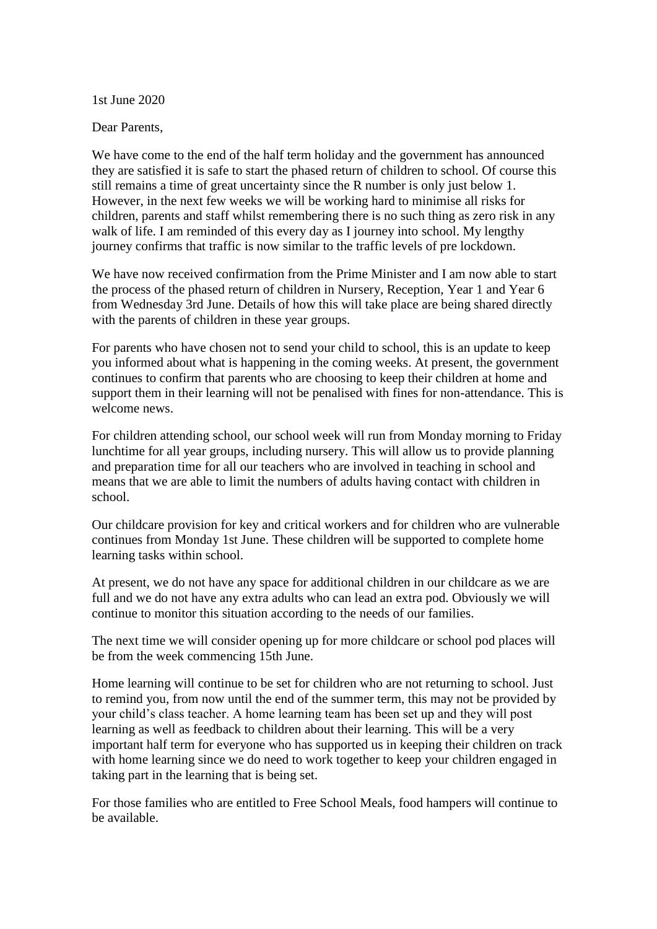1st June 2020

Dear Parents,

We have come to the end of the half term holiday and the government has announced they are satisfied it is safe to start the phased return of children to school. Of course this still remains a time of great uncertainty since the R number is only just below 1. However, in the next few weeks we will be working hard to minimise all risks for children, parents and staff whilst remembering there is no such thing as zero risk in any walk of life. I am reminded of this every day as I journey into school. My lengthy journey confirms that traffic is now similar to the traffic levels of pre lockdown.

We have now received confirmation from the Prime Minister and I am now able to start the process of the phased return of children in Nursery, Reception, Year 1 and Year 6 from Wednesday 3rd June. Details of how this will take place are being shared directly with the parents of children in these year groups.

For parents who have chosen not to send your child to school, this is an update to keep you informed about what is happening in the coming weeks. At present, the government continues to confirm that parents who are choosing to keep their children at home and support them in their learning will not be penalised with fines for non-attendance. This is welcome news.

For children attending school, our school week will run from Monday morning to Friday lunchtime for all year groups, including nursery. This will allow us to provide planning and preparation time for all our teachers who are involved in teaching in school and means that we are able to limit the numbers of adults having contact with children in school.

Our childcare provision for key and critical workers and for children who are vulnerable continues from Monday 1st June. These children will be supported to complete home learning tasks within school.

At present, we do not have any space for additional children in our childcare as we are full and we do not have any extra adults who can lead an extra pod. Obviously we will continue to monitor this situation according to the needs of our families.

The next time we will consider opening up for more childcare or school pod places will be from the week commencing 15th June.

Home learning will continue to be set for children who are not returning to school. Just to remind you, from now until the end of the summer term, this may not be provided by your child's class teacher. A home learning team has been set up and they will post learning as well as feedback to children about their learning. This will be a very important half term for everyone who has supported us in keeping their children on track with home learning since we do need to work together to keep your children engaged in taking part in the learning that is being set.

For those families who are entitled to Free School Meals, food hampers will continue to be available.